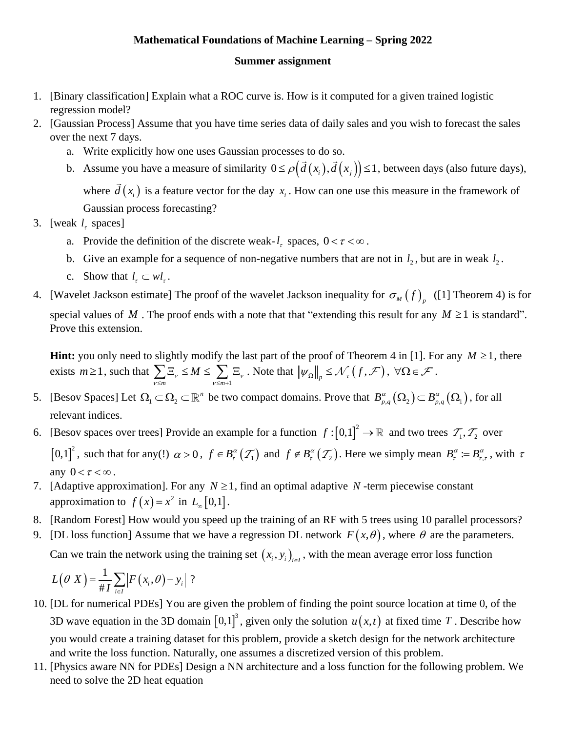## **Mathematical Foundations of Machine Learning – Spring 2022**

## **Summer assignment**

- 1. [Binary classification] Explain what a ROC curve is. How is it computed for a given trained logistic regression model?
- 2. [Gaussian Process] Assume that you have time series data of daily sales and you wish to forecast the sales over the next 7 days.
	- a. Write explicitly how one uses Gaussian processes to do so.
	- b. Assume you have a measure of similarity  $0 \le \rho \big( \vec{d}(x_i), \vec{d}(x_j) \big) \le 1$ , between days (also future days), where  $d(x_i)$  is a feature vector for the day  $x_i$ . How can one use this measure in the framework of Gaussian process forecasting?
- 3. [weak  $l<sub>r</sub>$  spaces]
	- a. Provide the definition of the discrete weak- $l<sub>r</sub>$  spaces,  $0 < \tau < \infty$ .
	- b. Give an example for a sequence of non-negative numbers that are not in  $l_2$ , but are in weak  $l_2$ .
	- c. Show that  $l_{\tau} \subset w l_{\tau}$ .
- 4. [Wavelet Jackson estimate] The proof of the wavelet Jackson inequality for  $\sigma_M(f)$ <sub>p</sub> ([1] Theorem 4) is for special values of M. The proof ends with a note that that "extending this result for any  $M \ge 1$  is standard". Prove this extension.

**Hint:** you only need to slightly modify the last part of the proof of Theorem 4 in [1]. For any  $M \ge 1$ , there exists  $m \geq 1$ , such that  $\overline{m}$   $\overline{v \leq m+1}$  $\mu_{\nu} \leq M \leq \sum \ \Xi_{\nu} \ .$  $\sum_{v \leq m} \Xi_v \leq M \leq \sum_{v \leq m+1} \Xi_v$ . Note that  $||\psi_{\Omega}||_p \leq \mathcal{N}_{\tau}(f, \mathcal{F}), \ \forall \Omega \in \mathcal{F}$ .

- 5. [Besov Spaces] Let  $\Omega_1 \subset \Omega_2 \subset \mathbb{R}^n$  be two compact domains. Prove that  $B^{\alpha}_{p,q}(\Omega_2) \subset B^{\alpha}_{p,q}(\Omega_1)$ , for all relevant indices.
- 6. [Besov spaces over trees] Provide an example for a function  $f: [0,1]^2 \to \mathbb{R}$  and two trees  $\mathcal{T}_1, \mathcal{T}_2$  over  $[0,1]^2$ , such that for any(!)  $\alpha > 0$ ,  $f \in B_r^{\alpha}(\mathcal{T}_1)$  and  $f \notin B_r^{\alpha}(\mathcal{T}_2)$ . Here we simply mean  $B_r^{\alpha} := B_r^{\alpha}$ .  $B_{\tau}^{\alpha} := B_{\tau,\tau}^{\alpha}$ , with  $\tau$ any  $0 < \tau < \infty$ .
- 7. [Adaptive approximation]. For any  $N \ge 1$ , find an optimal adaptive N -term piecewise constant approximation to  $f(x) = x^2$  in  $L_{\infty}[0,1]$ .
- 8. [Random Forest] How would you speed up the training of an RF with 5 trees using 10 parallel processors?
- 9. [DL loss function] Assume that we have a regression DL network  $F(x, \theta)$ , where  $\theta$  are the parameters.

Can we train the network using the training set  $(x_i, y_i)_{i \in I}$ , with the mean average error loss function

$$
L(\theta|X) = \frac{1}{\#I} \sum_{i \in I} |F(x_i, \theta) - y_i|?
$$

- 10. [DL for numerical PDEs] You are given the problem of finding the point source location at time 0, of the 3D wave equation in the 3D domain  $[0,1]^3$ , given only the solution  $u(x,t)$  at fixed time T. Describe how you would create a training dataset for this problem, provide a sketch design for the network architecture and write the loss function. Naturally, one assumes a discretized version of this problem.
- 11. [Physics aware NN for PDEs] Design a NN architecture and a loss function for the following problem. We need to solve the 2D heat equation